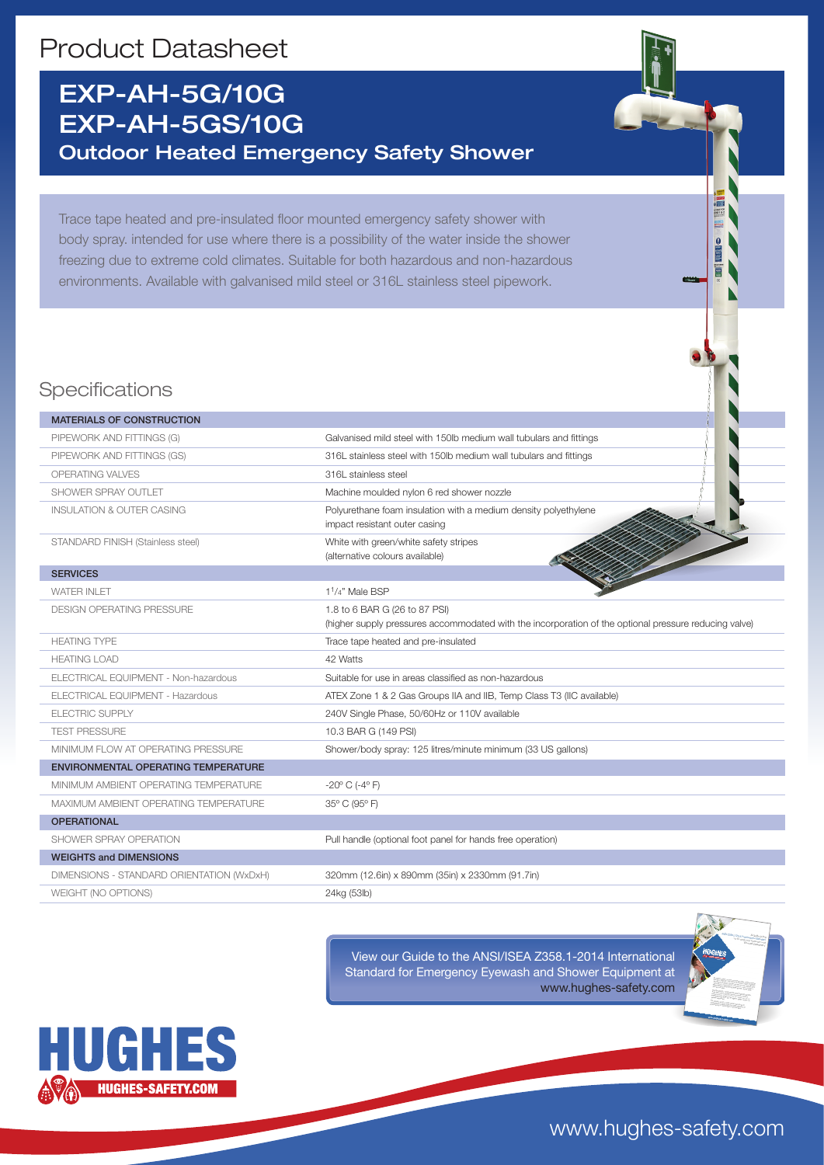# Product Datasheet

# EXP-AH-5G/10G EXP-AH-5GS/10G Outdoor Heated Emergency Safety Shower

Trace tape heated and pre-insulated floor mounted emergency safety shower with body spray. intended for use where there is a possibility of the water inside the shower freezing due to extreme cold climates. Suitable for both hazardous and non-hazardous environments. Available with galvanised mild steel or 316L stainless steel pipework.

### **Specifications**

| <b>MATERIALS OF CONSTRUCTION</b>           |                                                                                                       |
|--------------------------------------------|-------------------------------------------------------------------------------------------------------|
| PIPEWORK AND FITTINGS (G)                  | Galvanised mild steel with 150lb medium wall tubulars and fittings                                    |
| PIPEWORK AND FITTINGS (GS)                 | 316L stainless steel with 150lb medium wall tubulars and fittings                                     |
| OPERATING VALVES                           | 316L stainless steel                                                                                  |
| SHOWER SPRAY OUTLET                        | Machine moulded nylon 6 red shower nozzle                                                             |
| <b>INSULATION &amp; OUTER CASING</b>       | Polyurethane foam insulation with a medium density polyethylene<br>impact resistant outer casing      |
| STANDARD FINISH (Stainless steel)          | White with green/white safety stripes<br>(alternative colours available)                              |
| <b>SERVICES</b>                            |                                                                                                       |
| <b>WATER INLET</b>                         | $11/4$ " Male BSP                                                                                     |
| <b>DESIGN OPERATING PRESSURE</b>           | 1.8 to 6 BAR G (26 to 87 PSI)                                                                         |
|                                            | (higher supply pressures accommodated with the incorporation of the optional pressure reducing valve) |
| <b>HEATING TYPE</b>                        | Trace tape heated and pre-insulated                                                                   |
| <b>HEATING LOAD</b>                        | 42 Watts                                                                                              |
| FLECTRICAL EQUIPMENT - Non-hazardous       | Suitable for use in areas classified as non-hazardous                                                 |
| ELECTRICAL EQUIPMENT - Hazardous           | ATEX Zone 1 & 2 Gas Groups IIA and IIB, Temp Class T3 (IIC available)                                 |
| <b>ELECTRIC SUPPLY</b>                     | 240V Single Phase, 50/60Hz or 110V available                                                          |
| <b>TEST PRESSURE</b>                       | 10.3 BAR G (149 PSI)                                                                                  |
| MINIMUM FLOW AT OPERATING PRESSURE         | Shower/body spray: 125 litres/minute minimum (33 US gallons)                                          |
| <b>ENVIRONMENTAL OPERATING TEMPERATURE</b> |                                                                                                       |
| MINIMUM AMBIENT OPERATING TEMPERATURE      | $-20^{\circ}$ C (-4 $^{\circ}$ F)                                                                     |
| MAXIMUM AMBIENT OPERATING TEMPERATURE      | 35° C (95° F)                                                                                         |
| <b>OPERATIONAL</b>                         |                                                                                                       |
| SHOWER SPRAY OPERATION                     | Pull handle (optional foot panel for hands free operation)                                            |
| <b>WEIGHTS and DIMENSIONS</b>              |                                                                                                       |
| DIMENSIONS - STANDARD ORIENTATION (WxDxH)  | 320mm (12.6in) x 890mm (35in) x 2330mm (91.7in)                                                       |
| WEIGHT (NO OPTIONS)                        | 24kg (53lb)                                                                                           |

View our Guide to the ANSI/ISEA Z358.1-2014 International Standard for Emergency Eyewash and Shower Equipment at www.hughes-safety.com



www.hughes-safety.com